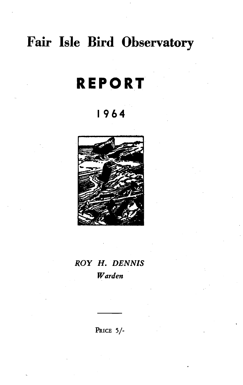# **Fair Isle** Bird Observatory

# **REPORT**

## **1964**



## *ROY* H. *DENNIS Warden*

PRICE *S/-*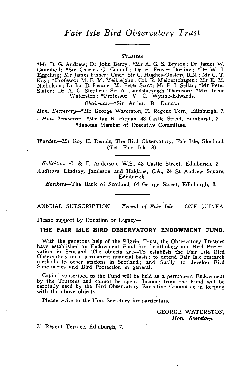### *Fair Isle Bird Observatory Trust*

#### *Trustees*

\*Mr D. G. Andrew; Dr John Berry; \*Mr A. G. S. Bryson; Dr James W. Campbell; \*Sir Charles G. Connell; Dr F. Fraser Darling; \*Dr W. J. Eggeling; Mr James Fisher; Cmdr. Sir G. Hughes-Onslow, R.N.; Mr G. T. Kay; \*Professor M. F. M. Meiklejohn; Col. R. Meinertzhagen; Mr E. M. Nicholson; Dr Ian D. Pennie; Mr Peter Scott; Mr P. J. Sellar; \*Mr Peter Slater; Dr A. C. Stephen; Sir A. Landsborough Thomson; \*Mrs Irene Waterston: \*Professor V. C. Wynne-Edwards.

*Ohairman-\*Sir* Arthur B. Duncan.

*Hon. Secretary-\*Mr* George Waterston, 21 Regent Terr., Edinburgh, 7. *Hon. Treasurer*-\*Mr Ian R. Pitman, 48 Castle Street, Edinburgh, 2. \*denotes Member of Executive Committee.

*Warden-Mr* Roy H. Dennis, The Bird Observatory, Fair Isle, Shetland. (Tel. Fair Isle 8).

*Solicitors-J.* & F. Anderson, W.S., 48 Castle Street, Edinburgh, 2. *Auditors* Lindsay, Jamieson and Haldane, CA., 24 St Andrew Square, Edinburgh.

Bankers-The Bank of Scotland, 64 George Street, Edinburgh, 2.

ANNUAL SUBSCRIPTION - *Friend of Fair Isle* - ONE GUINEA.

Please support by Donation or Legacy-

THE FAIR ISLE BIRD OBSERVATORY ENDOWMENT FUND.

With the generous help of the Pilgrim Trust, the Observatory Trustees have established an Endowment Fund for Ornithology and Bird Preservation in Scotland. The objects are-To establish the Fair Isle Bird Observatory on a permanent financial basis; to extend Fair Isle research methods to other stations in Scotland; and finally to. develop Bird Sanctuaries and Bird Protection in general.

Capital subscribed to. the Fund will be held as a permanent Endowment by the Trustees and cannot be spent. Income from the Fund will be carefully used by the Bird Observatory Executive Committee in keeping<br>with the above objects.

Please write to the Hon. Secretary for particulars.

GEORGE WATERSTON, *Hon. Secretary.* 

21 Regent Terrace, Edinburgh, 7.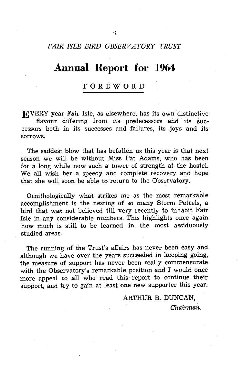#### *FAIR ISLE BIRD OBSERVATORY TRUST*

## **Annual Report for 1964**

#### FOREWORD

EVERY year Fair Isle, as elsewhere, has its own distinctive flavour differing from its predecessors and its successors both in its successes and failures, its joys and its sorrows.

The saddest blow that has befallen us this year is that next season we will be without Miss Pat Adams, who has been for a long while now such a tower of strength at the hostel. We all wish her a speedy and complete recovery and hope that she will soon be able to return to the Observatory.

Ornithologically what strikes me as the most remarkable accomplishment is the nesting of so many Storm Petrels, a bird that was not believed till very recently to inhabit Fair Isle in any considerable numbers. This highlights once again how much is still to be learned in the most assiduously studied areas.

The running of the Trust's affairs has never been easy and although we have over the years succeeded in keeping going, the measure of support has never been really commensurate with the Observatory's remarkable position and I would once more appeal to all who read this report to continue their support, and try to gain at least one new supporter this year.

ARTHUR B. DUNCAN,

Chairman.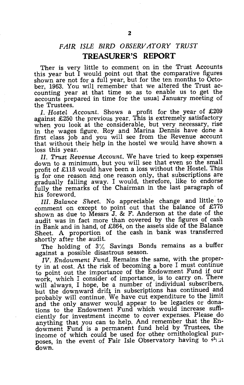#### *FAIR ISLE BIRD OBSERVATORY TRUST*  **TREASURER'S REPORT**

Ther is very little to comment on in the Trust Accounts this year but I would point out that the comparative figures shown are not for a full year, but for the ten months to October, 1963. You will remember that we altered the Trust accounting year at that time so as to enable us to get the accounts prepared in time for the usual January meeting of the Trustees.

I. Hostel Account. Shows a profit for the year of £209 against £250 the previous year. This is extremely satisfactory when you look at the considerable, but very necessary, rise in the wages figure. Roy and Marina Dennis have done a first class job and you will see from the Revenue account that without their help in the hostel we would have shown a loss this year.

Il. *Trust Revenue Account.* We have tried to keep expenses down to a minimum, but you will see that even so the small profit of £118 would have been a loss without the Hostel. This is for one reason and one reason only, that subscriptions are gradually falling away. I would, therefore, like to endorse fully the remarks of the Chairman in the last paragraph of his foreword.

Ill. *Balance Sheet.* No appreciable change and little to comment on except to point out that the balance of  $£775$ shown as due to Messrs J. & F. Anderson at the date of the audit was in fact more than covered by the figures of cash in Bank and in hand, of £864, on the assets side of the Balance Sheet. A proportion of the cash in bank was transferred shortly after the audit.

The holding of  $3\%$  Savings Bonds remains as a buffer against a possible disastrous season.

*IV. Endowment Fund.* Remains the same, with the property in at cost. At the risk of becoming a bore I must continue to point out the importance of the Endowment Fund if our work, which I consider of importance, is to carry on. There will always, I hope, be a number of individual subscribers, but the downward drift in subscriptions has continued and probably will continue. We have cut expenditure to the limit and the only answer would appear to be legacies or donations to the Endowment Fund which would increase sufficiently for investment income to cover expenses. Please do anything that you can to help. And remember that the Endowment Fund is a permanent fund held by Trustees, the income of which could be used for other ornithological purposes, in the event of Fair Isle Observatory having to shut down.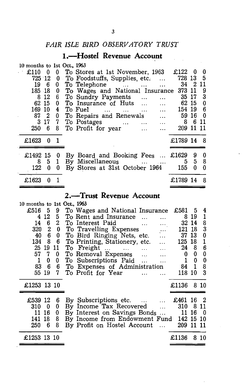### *FAIR ISLE BIRD OBSERVATORY TRUST*

## **I.-Hostel Revenue Account**

| 10 months to 1st Oct., 1963<br>£110<br>0<br>725 12<br>19<br>- 6<br>185 18<br>12<br>8<br>62 15<br>169<br>-10<br>87<br>$\mathbf{2}$ | 0<br>0<br>0<br>0<br>6<br>0<br>4<br>0 | To Stores at 1st November, 1963<br>To Foodstuffs, Supplies, etc.<br>$\ddotsc$<br>To Telephone<br>and the contract of the contract of<br>To Wages and National Insurance<br>To Sundry Payments<br>$\cdots$<br>To Insurance of Huts<br>$\ddotsc$<br>To Fuel<br>$\ddotsc$<br><b>Contract Contract</b><br>$\cdots$<br>To Repairs and Renewals<br>$\dddotsc$ | £122<br>728 13<br>34<br>373 11<br>35 17<br>62 15<br>154 19<br>59 16 | $\bf{0}$<br>211 | 0<br>5<br>9<br>3<br>0<br>6<br>0 |
|-----------------------------------------------------------------------------------------------------------------------------------|--------------------------------------|---------------------------------------------------------------------------------------------------------------------------------------------------------------------------------------------------------------------------------------------------------------------------------------------------------------------------------------------------------|---------------------------------------------------------------------|-----------------|---------------------------------|
| 3<br>17<br>250<br>6                                                                                                               | 7<br>8                               | To Postages<br>$\mathbf{1.1.}$ .<br><br><br><br>.<br><br><br><br><br><br><b><i>Contractor Contractor</i></b><br>To Profit for year<br>$\ddotsc$<br>$\ddotsc$                                                                                                                                                                                            | 8<br>209                                                            | 11 11           | 6 11                            |
| £1623<br>0                                                                                                                        | $\mathbf{1}$                         |                                                                                                                                                                                                                                                                                                                                                         | £1789 14                                                            |                 | 8                               |
| £1492 15<br>8<br>5<br>122<br>$\boldsymbol{0}$                                                                                     | 0<br>1<br>0                          | By Board and Booking Fees<br>By Miscellaneous<br>By Stores at 31st October 1964                                                                                                                                                                                                                                                                         | £1629<br>5<br>155                                                   | 9<br>5<br>0     | 0<br>8<br>0                     |
| £1623<br>0                                                                                                                        | $\mathbf{1}$                         |                                                                                                                                                                                                                                                                                                                                                         | £1789 14                                                            |                 | 8                               |
|                                                                                                                                   |                                      | 2.—Trust Revenue Account                                                                                                                                                                                                                                                                                                                                |                                                                     |                 |                                 |
| 10 months to 1st Oct., 1963                                                                                                       |                                      |                                                                                                                                                                                                                                                                                                                                                         |                                                                     |                 |                                 |
| £516<br>5                                                                                                                         | 9                                    | To Wages and National Insurance                                                                                                                                                                                                                                                                                                                         | £581                                                                | 5               | 4                               |
| 12<br>4                                                                                                                           | 5                                    | To Rent and Insurance<br>$\mathbf{1}_{\mathbf{1}}$ , $\mathbf{1}_{\mathbf{1}}$<br>$\ddotsc$                                                                                                                                                                                                                                                             |                                                                     | 8 19            | 1                               |
| 6<br>14                                                                                                                           | $\overline{2}$                       | To Interest Paid<br>$\mathbf{r}$ , and $\mathbf{r}$ , and $\mathbf{r}$                                                                                                                                                                                                                                                                                  | 32 14                                                               |                 | 8                               |
| $\boldsymbol{2}$<br>320                                                                                                           | 0                                    | To Travelling Expenses<br>$\cdots$                                                                                                                                                                                                                                                                                                                      | 121                                                                 | 18              | 3                               |
| 40<br>6                                                                                                                           | 0                                    | To Bird Ringing Nets, etc.<br>$\ddotsc$                                                                                                                                                                                                                                                                                                                 | 37                                                                  | 13              | 0                               |
| 134<br>8                                                                                                                          | 6                                    | <b>To Printing, Stationery, etc.</b>                                                                                                                                                                                                                                                                                                                    | 125                                                                 | 18              | 1                               |
| 25<br>19                                                                                                                          | 11                                   | فكفارز المفقار التفقير المنفق<br>To Freight                                                                                                                                                                                                                                                                                                             | 24                                                                  | 8               | $6\phantom{1}6$                 |
|                                                                                                                                   |                                      |                                                                                                                                                                                                                                                                                                                                                         |                                                                     |                 | $\bf{0}$                        |
| 57<br>7                                                                                                                           | 0                                    | $\ddotsc$                                                                                                                                                                                                                                                                                                                                               | 0                                                                   | 0               |                                 |
| 1<br>0                                                                                                                            | 0                                    | To Removal Expenses<br>$\cdots$                                                                                                                                                                                                                                                                                                                         | 1                                                                   | 0               | 0                               |
| 83<br>6                                                                                                                           | 6                                    | To Subscriptions Paid                                                                                                                                                                                                                                                                                                                                   | 84                                                                  | 1               | 8                               |
| 55<br>19                                                                                                                          | 7.                                   | To Expenses of Administration<br>To Profit for Year<br>$\mathbf{1}$<br>$\ddotsc$                                                                                                                                                                                                                                                                        | 118                                                                 | 10              | 3                               |

|             | £539 12 6 By Subscriptions etc.   £461 16 2<br>310 0 0 By Income Tax Recovered  310 8 11<br>11 16 0 By Interest on Savings Bonds $\dots$ 11 16 0<br>141 18 8 By Income from Endowment Fund 142 15 10<br>250 6 8 By Profit on Hostel Account | 209 11 11  |  |
|-------------|---------------------------------------------------------------------------------------------------------------------------------------------------------------------------------------------------------------------------------------------|------------|--|
| £1253 13 10 |                                                                                                                                                                                                                                             | £1136 8 10 |  |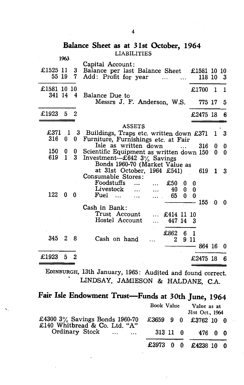#### **Balance Sheet as at 31st October, 1964**  LIABILITIES 1963

|                         | 1903           |                         | Capital Account:                                                                |            |          |    |          |
|-------------------------|----------------|-------------------------|---------------------------------------------------------------------------------|------------|----------|----|----------|
| £1525 11<br>55 19       |                | $3 -$<br>$7\phantom{.}$ | Balance per last Balance Sheet £1581 10 10<br>Add: Profit for year<br>$\ddotsc$ |            | 118 10 3 |    |          |
| £1581 10 10<br>341 14 4 |                |                         | Balance Due to                                                                  |            | £1700    | -1 | 1        |
|                         |                |                         | Messrs J. F. Anderson, W.S.                                                     |            | 775 17   |    | 5        |
| £1923                   | 5 <sub>5</sub> | $\overline{2}$          |                                                                                 |            | £2475 18 |    | 6        |
|                         |                |                         | <b>ASSETS</b>                                                                   |            |          |    |          |
| £371                    |                | $1\quad 3$              | Buildings, Traps etc. written down £371                                         |            |          | 1  | 3        |
| 316                     | $\bf{0}$       | $\mathbf{0}$            | Furniture, Furnishings etc. at Fair                                             |            |          |    |          |
|                         |                |                         | Isle as written down                                                            |            | 316      | 0  | 0        |
| 150                     | 0              | 0                       | Scientific Equipment as written down 150                                        |            |          | 0  | $\bf{0}$ |
| 619                     | $\mathbf{1}$   | 3 <sup>1</sup>          | Investment-£642 3% Savings                                                      |            |          |    |          |
|                         |                |                         | Bonds 1960-70 (Market Value as                                                  |            |          |    |          |
|                         |                |                         | at 31st October, 1964 £541)                                                     |            | 619      | 1  | 3        |
|                         |                |                         | Consumable Stores:                                                              |            |          |    |          |
|                         |                |                         | Foodstuffs<br>£50<br>0                                                          | 0          |          |    |          |
|                         |                |                         | Livestock<br>40<br>$\bf{0}$<br>$\ddotsc$                                        | $\bf{0}$   |          |    |          |
| 122                     | $\bf{0}$       | 0                       | Fuel<br>65<br>0<br>$\ddotsc$                                                    | $\bf{0}$   |          |    |          |
|                         |                |                         |                                                                                 |            | 155      | 0  | 0        |
|                         |                |                         | Cash in Bank:                                                                   |            |          |    |          |
|                         |                |                         | Trust Account<br>£414 11 10<br>$\cdots$                                         |            |          |    |          |
|                         |                |                         | Hostel Account<br>447 14                                                        | 3          |          |    |          |
|                         |                |                         |                                                                                 |            |          |    |          |
| 345                     | $\mathbf{2}$   | 8                       | £862<br>Cash on hand<br>$\mathbf{2}$                                            | 61<br>9 11 |          |    |          |
|                         |                |                         |                                                                                 |            | 864 16   |    | 0        |
|                         |                |                         |                                                                                 |            |          |    |          |
| £1923                   | 5              | 2                       |                                                                                 |            | £2475 18 |    | 6        |
|                         |                |                         |                                                                                 |            |          |    |          |

EDINBURGH, 13th January, 1965: Audited and found correct. LINDSAY, JAMIESON & HALDANE, C.A.

|  |  |  | Fair Isle Endowment Trust—Funds at 30th June, 1964 |  |  |  |
|--|--|--|----------------------------------------------------|--|--|--|
|--|--|--|----------------------------------------------------|--|--|--|

|                                                                    | Book Value           |                      | Value as at<br>31st Oct., 1964 |  |  |
|--------------------------------------------------------------------|----------------------|----------------------|--------------------------------|--|--|
| £4300 $3\%$ Savings Bonds 1960-70<br>£140 Whitbread & Co. Ltd. "A" |                      | £3659 9 0 £3762 10 0 |                                |  |  |
| Ordinary Stock                                                     | 313 11 0             |                      | 476 በ በ                        |  |  |
|                                                                    | £3973 0 0 £4238 10 0 |                      |                                |  |  |

4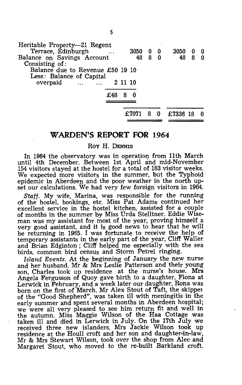| Heritable Property-21 Regent                                 |     |         |      |            |     |        |   |   |
|--------------------------------------------------------------|-----|---------|------|------------|-----|--------|---|---|
| Terrace, Edinburgh                                           |     |         | 3050 | $0\quad 0$ |     | 3050 0 |   |   |
| Balance on Savings Account<br>Consisting of:                 |     |         | 48   | 8          | 0   | 48     | 8 | Ω |
| Balance due to Revenue £50 19 10<br>Less: Balance of Capital |     |         |      |            |     |        |   |   |
| overpaid<br>$\sim$ $\sim$ $\sim$ $\sim$ $\sim$ $\sim$ $\sim$ |     | 2 11 10 |      |            |     |        |   |   |
|                                                              | £48 |         |      |            |     |        |   |   |
|                                                              |     |         |      |            |     |        |   |   |
|                                                              |     |         |      |            | - 0 | £7336  |   |   |
|                                                              |     |         |      |            |     |        |   |   |

#### **WARDEN'S REPORT FOR 1964**

Roy H. DENNIS

In 1964 the observatory was in operation from 11th March until 4th December. Between 1st April and mid-November 154 visitors stayed at the hostel for a total of 183 visitor weeks. We expected more visitors in the summer, but the Typhoid epidemic in Aberdeen and the poor weather in the north upset our calculations. We had very few foreign visitors in 1964.

*Staff.* My wife, Marina, was responsible for the running of the hostel, bookings, etc. Miss Pat Adams continued her excellent service in the hostel kitchen, assisted for a couple of months in the summer by Miss Urda Stelltner. Eddie Wiseman was my assistant for most of the year, proving himself a very good assistant, and it is good news to hear that he will be returning in 1965. I was fortunate to receive the help of temporary assistants in the early part of the year, Cliff WaIler and Brian Edginton ; Cliff helped me especially with the sea birds, common bird census and Storm Petrel ringing.

*Island Events.* At the beginning of January the new nurse and her husband. Mr & Mrs Leslie Patterson and their young son, Charles took up residence at the nurse's house. Mrs Angela Fergusson of Quoy gave birth to a daughter, Fiona at Lerwick in February, and a week later our daughter, Rona was born on the first of March. Mr Alex Stout of Taft, the skippel of the "Good Shepherd", was taken ill with meningitis in the early summer and spent several months in Aberdeen hospital; we were all very pleased to see him return fit and well in the autumn. Miss Maggie Wilson of the Haa Cottage was taken ill and died in Lerwick in July. On the 17th July we received three new islanders, Mrs Jackie Wilson took up residence at the Houll croft and her son and daughter-in-law, Mr & Mrs Stewart Wilson, took over the shop from Alec and Margaret Stout, who moved to the re-built Barkland croft.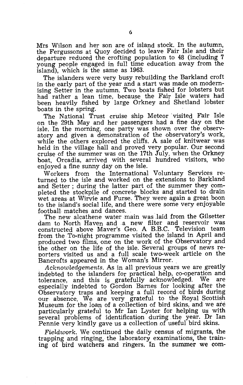Mrs Wilson and her son are of island stock. In the autumn, the Fergussons at Quoy decided to leave Fair Isle and their departure reduced the crofting population to 48 (including 7 young people engaged in full time education away from the island), which is the same as 1963.

The islanders were very busy rebuilding the Barkland croft in the early part of the year and a start was made on modernising Setter in the autumn. Two boats fished for lobsters but had rather a lean time, because the Fair Isle waters had been heavily fished by large Orkney and Shetland lobster boats in the spring.

The National Trust cruise ship Meteor visited Fair Isle on the 29th May and her passengers had a fine day on the isle. In the morning, one party was shown over the observatory and given a demonstration of the observatory's work, while the others explored the cliffs. A sale of knitwear was held in the village hall and proved very popular. Our second cruise of the summer was on the 17th July, when the Orkney boat, Orcadia, arrived with several hundred visitors, who enjoyed a fine sunny day on the isle.

Workers from the International Voluntary Services returned to the isle and worked on the extensions to Earkland and Setter; during the latter part of the summer they completed the stockpile of concrete blocks and started to drain wet areas at Wirvie and Furse. They were again a great boon to the island's social life, and there were some very enjoyable

The new alcathene water main was laid from the Gilsetter dam to North Haven and a new filter and reservoir was constructed above Maver's Geo. A RB.C. Television team from the To-night programme visited the island in April and produced two films, one on the work of the Observatory and the other on the life of the isle. Several groups of news reporters visited us and a full scale two-week article on the Bancrofts appeared in the Woman's Mirror.

*Acknowledgements.* As in all previous years we are greatly indebted to the islanders for practical help, co-operation and tolerance, and this is gratefully acknowledged. especially indebted to Gordon Barnes for looking after the Observatory traps and keeping a full record of birds during our absence. We are very grateful to the Royal Scottish Museum for the loan of a collection of bird skins, and we are particularly grateful to Mr Ian Lyster for helping us with several problems of identification during. the year. Dr Ian Pennie very kindly gave us a collection of useful bird skins.

*Fieldwork.* We continued the daily census of migrants, the trapping and ringing, the laboratory examinations, the training of bird watchers and ringers. In the summer we com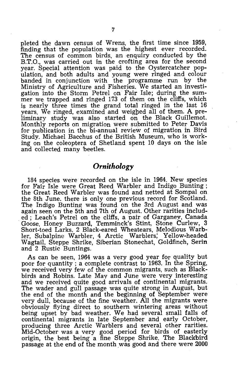pleted the dawn census of Wrens, the first time since 1959, finding that the population was the highest ever recorded. The census of common birds, an enquiry conducted by the B.T.O., was carried out in the crofting area for the second year. Special attention was paid to the Oystercatcher population, and both adults and young were ringed and colour banded in conjunction with the programme run by the Ministry of Agriculture and Fisheries. We started an investigation into the Storm Petrel on Fair Isle; during the summer we trapped and ringed 173 of them on the cliffs, which is nearly three times the grand total ringed in the last 16 years. We ringed, examined and weighed all of them. A preliminary study was also started on the Black Guillemot. Monthly reports on migration were submitted to Peter Davis for publication in the bi-annual review of migration in Bird Study. Michael Bacchus of the British Museum, who is working on the coleoptera of Shetland spent 10 days on the isle and collected many beetles.

#### *Ornithology*

184 species were recorded on the isle in 1964. New species for Fair Isle were Great Reed Warbler and Indigo Bunting; the Great Reed Warbler was found and netted at Sompal on the 8th June, there is only one previous record for Scotland. The Indigo Bunting was found on the 3rd August and was again seen on the 5th and 7th of August. Other rarities included; Leach's Petrel on the cliffs, a pair of Garganey, Canada Goose, Honey Buzzard, Temminck's Stint, Stone Curlew, 3 Short-toed Larks, 2 Black-eared Wheatears, Melodious Warbler, Subalpine Warbler, 4 Arctic Warblers; Yellow-headed Wagtail, Steppe Shrike, Siberian Stonechat, Goldfinch, Serin and 2 Rustic Buntings.

As can be seen, 1964 was a very good year for quality but poor for quantity; a complete contrast to 1963. In the Spring, we received very few of the common migrants, such as Blackbirds and Robins. Late May and June were very interesting and we received quite good arrivals of continental migrants. The wader and gull passage was quite strong in August, but the end of the month and the beginning of September were very dull, because of the fine weather. All the migrants were obviously flying direct to southern wintering areas without being upset by bad weather. We had several small falls of continental migrants in late September and early October, producing three Arctic Warblers and several other rarities. Mid-October was a very good period for birds of easterly origin, the best being a fine Steppe Shrike. The Blackhird passage at the end of the month was good and there were 2000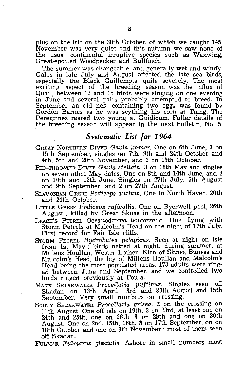plus on the isle on the 30th October, of which we caught 145. November was very quiet and this autumn we saw none of the usual continental irruptive species such as Waxwing, Great-spotted Woodpecker and Bullfinch.

The summer was changeable, and generally wet and windy. Gales in late July and August affected the late sea birds, especially the Black Guillemots, quite severely. The most exciting aspect of the breeding season was the influx of Quail, between 12 and 15 birds were singing on one evening in June and several pairs probably attempted to breed. In September an old nest containing two eggs was found by Gordon Barnes as he was scything his corn at Taing. The Peregrines reared two young at Guidicum. Fuller details of the breeding season will appear in the next bulletin, No. 5.

#### *Systematic List for 1964*

- GREAT NORTHERN DIVER *Gavia immer.* One on 6th June, 3 on 15th September, singles on 7th, 9th and 24th October and 4th, 5th and 20th November, and 2 on 13th October.
- RED-THROATED DIVER *Cavia steHata.* 3 on 16th May and singles on seven other May dates. One on 8th and 14th June, and 2 on 10th and 13th June. Singles on 27th July, 5th August and 9th September, and 2 on 27th August.
- SLAVONIAN GREBE *Podiceps auritus.* One in North Haven, 20th and 24th October.
- LITTLE GREBE *Podiceps ruficoUis.* One on Byerwell pool, 26th August; killed by Great Skuas in the afternoon.
- LEACH'S PETREL *Oceanodroma leucorrhoa.* One flying with Storm Petrels at Malcolm's Head on the night of 17th July. First record for Fair Isle cliffs.
- STORM PETREL *Hydrobates pelagicus.* Seen at night on isle from 1st May; birds netted at night, during summer, at Millens Houllan, Wester Lather, Kirn of Skroo, Buness and Malcolm's Head, the ley of Millens Houllan and Malcolm's Head being the most populated areas. 173 adults were ringed between June and September, and we controlled two birds ringed previously at Foula.
- MANX SHEARWATER *Procellaria puffinus.* Singles seen off Skadan on 13th April, 3rd and 30th August and 15th September. Very small numbers on crossing.
- SOOTY SHEARWATER *ProceHaria grisea.* 2 on the crossing on 11th August. One off isle on 19th, 3 on 23rd, at least one on 24th and 25th, one on 26th, 3 on 29th and one on 30th August. One on 2nd, 15th, 16th, 3 on 17th September, on on 18th October and one on 8th November; most of them seen off Skadan.

FULMAR *Fulmarus glacialis.* Ashore in small numbers most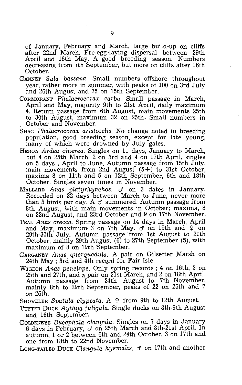of January, February and March, large build-up on cliffs after 22nd March. Pre-egg-laying dispersal between 29th April and 16th May. A good breeding season. Numbers decreasing from 7th September, but more on cliffs after 16th October.

- GANNET *Sula bassana.* Small numbers offshore throughout year, rather more in summer, with peaks of 100 on 3rd July and 26th August and 75 on 15th September.
- CORMORANT *Phalacrocorax carbo.* Small passage in March, April and May, majority 9th to 21st April, daily maximum 4. Return passage from 6th August, main movements 25th to 30th August, maximum 32 on 25th. Small numbers in , October and November.
- SHAG *Phalacrocorax aristotelis*. No change noted in breeding population, good breeding season, except for late young, many of which were drowned by July gales.
- HERON *Ardea cinerea.* Singles on 11 days, January to March, but 4 on 25th March. 2 on 3rd and 4 on 17th April, singles on 5 days, April to June. Autumn passage from 15th July, main movements from 2nd August  $(5 + 5)$  to 31st October, maxima 8 On 11th and 5 on 12th September, 6th and 18th October. Singles seven times in November.
- MALLARD *Anas platyrhynchos.* d' on 3 dates in January. Recorded on 32 days between March to June, never more than 3 birds per day. A  $\sigma$  summered. Autumn passage from 8th August, with main movements in October; maxima, 8 on 22nd August, and 23rd October and 9 on 17th November.
- TEAL *Anas crecca.* Spring passage on 14 days in March, April and May, maximum  $3$  on 7th May.  $\sigma$  on 19th and  $\sqrt{2}$  on 29th-30th July. Autumn passage from 1st August to 20th October, mainly 29th August (6) to 27th September (5), with maximum of 8 on 19th September.
- GARGANEY *Anas querquedula*. A pair on Gilsetter Marsh on 24th May; 3rd and 4th record for Fair Isle.
- WIGEON *Anas penelope.* Only spring records; 4 on 16th, 3 on 25th and 27th, and a pair on 31st March, and 2 on 18th April. Autumn passage from 24th August to 7th November, mainly 8th to 29th September, peaks of 22 on 25th and  $\dot{7}$ on 26th.

SHOVELER *Spatula clypeata.* A 9 from 9th to 12th August.

TUFTED DUCK *Aythya fuligula.* Single ducks on 8th-9th August and 16th September.

GOLDENEYE *Bucephala clangula.* Singles on 7 days in January 6 days in February,  $\sigma$  on 25th March and 8th-21st April. In autumn, 1 or 2 between 6th and 24th October, 3 on 17th and one from 18th to 22nd November.

Long-Tailed Duck *Clangula hyemalis.*  $\sigma$  on 17th and another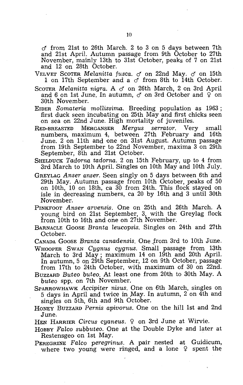$\sigma$  from 21st to 26th March. 2 to 3 on 5 days between 7th and 21st April. Autumn passage from 9th October to 27th November, mainly 13th to 31st October, peaks of 7 on 21st and 12 on 28th October.

VELVET SCOTER *Melanitta fusca. d* on 22nd May. *d* on 15th 1 on 17th September and a *d* from 8th to 14th October.

Scoter *Melanitta nigra.* A d on 26th March, 2 on 3rd April and 6 on 1st June. In autumn,  $\sigma$  on 3rd October and  $\mathcal{Q}$  on 30th November.

EIDER *Somateria mollissima.* Breeding population as 1963; first duck seen incubating on 25th May and first chicks seen on sea on 22nd June. High mortality of juveniles.

- RED-BREASTED MERGANSER *Mergus serrator.* Very small numbers, maximum 4, between 27th February and 16th June. 2 on 11th and one on 31st August. Autumn passage from 19th September to 22nd November, maxima 3 on 29th September, 8th and 21st October.
- SHELDUCK *Tadorna tadorna.* 2 on 15th February, up to 4 from 3rd March to 10th April. Singles on 10th May and 10th July.
- GREYLAG *Anser anser.* Seen singly on 5 days between 6th and 29th May. Autumn passage from 10th October, peaks of 50 on 10th, 10 on 18th, ca 30 from 24th. This flock stayed on isle in decreasing numbers, ca 20 by 16th and 3 until 30th November.

PINKFOOT *Anser arvensis.* One on 25th and 26th March. A young bird on 21st September, 3, with the Greylag flock from 10th to 16th and one on 27th November.

BARNACLE GOOSE *Branta leucopsis.* Singles on 24th and 27th October.

CANADA GOOSE *Branta canadensis*. One from 3rd to 10th June.

WHOOPER SWAN *Cygnus cygnus.* Small passage from 13th March to 3rd May; maximum 14 on 19th and 20th April. In autumn, 5 on 29th September, 12 on 9th October, passage from 17th to 24th October, with maximum of 30 on 22nd.

BUZZARD *Buteo buteo.* At least one from 20th to 30th May. A *buteo* spp. on 7th November.

- SPARROWHAWK *Accipiter nisus.* One on 6th March, singles on 5 days in April and twice in May. In autumn, 2 on 4th and singles on 5th, 6th and 9th October.
- HONEY BUZZARD *Pernis apivorus*. One on the hill 1st and 2nd June.
- HEN HARRIER Circus cyaneus. <sup>2</sup> on 3rd June at Wirvie.
- HOBBY *Falco subbuteo.* One at the Double Dyke and later at Restensgeo on 1st May. .
- PEREGRINE *Falco peregrinus.* A pair nested at Guidicum, where two young were ringed, and a lone  $9$  spent the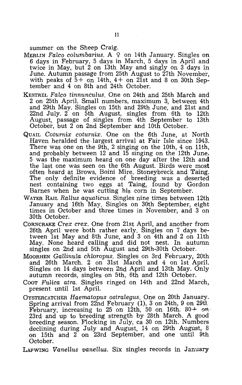summer on the Sheep Craig.

- MERLIN *Falco columbarius.* A 9 on 14th January. Singles on 6 days in February, 5 days in March, 5 days in April and twice in May, but 2 on 13th May and singly on 3 days in June. Autumn passage from 25th August to 27th November, with peaks of  $5+$  on 14th,  $4+$  on 21st and 8 on 30th September and 4 on 8th and 24th October.
- KESTREL Falco tinnunculus. One on 24th and 25th March and 2 on 25th April. Small numbers, maximum 3, between 4th and 29th May. Singles on 15th and 29th June, and 21st and 22nd July. 2 on 5th August, singles from 6th to 12th August, passage of singles from 4th September to 13th October, but 2 on 2nd September and 10th October.
- QUAIL *Coturnix coturnix.* One on the 6th June, at North Haven heralded the largest arrival at Fair Isle since 1943. There was one on the  $9\bar{t}h$ , 2 singing on the 10th, 4 on 11th, and probably between 12 and 15 singing on the 12th June. 5 was the maximum heard on one day after the 12th and the last one was seen on the 6th August. Birds were most often heard qt Brows, Boini Mire, Stoneybreck and Taing. The only definite evidence of breeding was a deserted nest containing two eggs at Taing, found by Gordon Barnes when he was cutting his corn in September.
- WATER RAIL *RaLlus aquaticus.* Singles nine times between 12th January and 16th May. Singles on 30th September, eight times in October and three times in November, and 3 on 30th October.
- CORNCRAKE *Crex crex.* One from 21st April, and another from 26th April were both rather early. Singles on 7 days between 1st May and 8th June, and 3 on 4th and 2 on 11th May. None heard calling and did not nest. In autumn singles on 2nd and 5th August and 29th-30th October.
- MOORHEN *Gallinula chloropus*. Singles on 3rd February, 20th and 26th March. 2 on 31st March and 4 on 1st April. Singles on 14 days between 2nd April and 13th May. Only autumn records, singles on 5th, 6th and 12th October.
- Coor *Fulica atra.* Singles ringed on 14th and 22nd March, present until 1st April.
- OYSTERCATCHER *Haematopus ostralegus.* One on 20th January. Spring arrival from 22nd February (1), 3 on 24th, 9 on 29tl. February, increasing to 25 on 12th, 50 on 16th,  $80 + 9n$ . 23rd and up to 'breeding strength by 28th March. A good breeding season. Flocking in July, ca 30 on 12th. Numbers declining during July and August, 14 on 29th August, 8 on 15th and 2 on 23rd September, and one until 9th October.

LAPWING *Vanellus vanellus.* Six singles records in January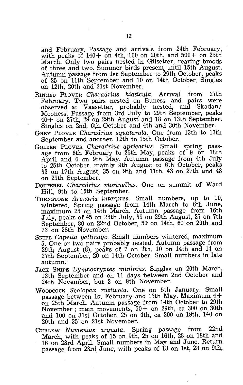and February. Passage and arrivals from 24th February, with peaks of  $140+$  on 4th, 100 on 20th, and  $500+$  on 25th March. Only two pairs nested in Gilsetter, rearing broods of three and two. Summer birds present until 15th August. Autumn passage from 1st September to 29th October, peaks of 25 on 11th September and 10 on 14th October. Singles on 12th, 20th and 21st November.

- RINGED PLOVER *Charadrius hiaticula.* Arrival from 27th February. Two pairs nested on Buness and pairs were observed at Vaasetter, probably nested, and Skadan/ Meoness. Passage from 3rd July to 29th September, peaks 40+ on 27th, 29 on 29th August and 18 on 13th September. Singles on 2nd, 6th, October and 4th and 30th November.
- GREY PLOVER *Charadrius squatarola.* One from 13th to 17th September and another, 12th to 15th October.
- GOLDEN PLOVER *Charadrius apricarius.* Small spring passage from 6th February to 26th May, peaks of 9 on 18th April and 6 on 9th May. Autumn passage from 4th July to 25th October, mainly 9th August to 6th October, peaks 33 on 17th August, 35 on 9th and 11th, 43 on 27th and 48 on 29th September.
- DOTTEREL *Charadrius morinellus*. One on summit of Ward Hill, 9th to 15th September.
- TURNSTONE *Arenaria interpres.* Small numbers, up to 10, wintered. Spring passage from 14th March to 6th June, maximum 25 on 14th March. Autumn passage from 16th July, peaks of 45 on 28th July, 39 on 29th August, 27 on 7th September, 80 on 22nd October, 50 on 14th, 60 on 20th and 73 on 28th November.
- SNIPE *Capella gallinago.* Small numbers wintered, maximum 5. One or two pairs probably nested. Autumn passage from 29th August  $(\delta)$ , peaks of 7 on 7th, 10 on 14th and 14 on 27th September, 20 on 14th October. Small numbers in late autumn.
- JACK SNIPE *Lymnocryptes* minimus. Singles on 20th March, 13th September and on 11 days between 2nd October and 24th November, but 2 on 9th November.
- WOODCOCK *Scolopax rusticola.* One on 5th January. Small passage between 1st February and 13th May. Maximum 4+ on 25th March. Autumn passage from 14th October to 29th November; main movements, 50+ on 29th, ca 300 on 30th and 100 on 31st October, 25 on 4th, ca 200 on 19th, 140 on 20th and 35 on 21st November.
- CURLEW *Numenius arquata.* Spring passage from 22nd March, with peaks of 15 on 9th, 25 on 16th, 28 on 18th and 16 on 23rd April. Small numbers in May and June. Return passage from 23rd June, with peaks of 18 on 1st, 28 on 9th,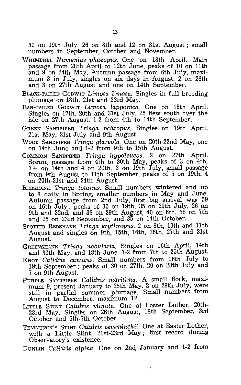30 on 19th July, 26 on 8th and 12 on 31st August; small numbers in September, October and November.

- WHIMBREL *Numenius phaeopus.* One on 18th April. Main passage from 28th April to 12th June, peaks of 10 on 11th and 9 on 24th May. Autumn passage from 6th July, maximum 3 in July, singles on six days in August, 2 on 26th and 3 on 27th August and one on 14th September.
- BLACK-TAILED GODWIT *Limosa limosa.* Singles in full breeding plumage on 18th, 21st and 23rd May.
- BAR-TAILED GODWIT *Limosa lapponica.* One on 18th April. Singles on 17th, 20th and 31st July. 25 flew south over the isle on  $27th$  August. 1-2 from 4th to 14th September.
- GREEN SANDPIPER *Tringa ochropus.* Singles on 19th April, 21st May, 21st July and 9th August.
- WOOD SANDPIPER *Tringa glareola.* One on 20th-22nd May, one on 14th June and 1-2 from 9th to 15th August.
- COMMON SANDPIPER *Tringa hypoleucos.* 2 on 27th April. Spring passage from 4th to 30th May, peaks of 3 on 4th, 3+ on 14th and 4 on 20th. 3 on 19th July, small passage from 9th August to 11th September, peaks of 5 on 19th, 4 on 20th-21st and 24th August.
- REDSHANK *Tringa totanus.* Small numbers wintered and up to 8 daily in Spring, smaller numbers in May and June. Autumn passage from 2nd July, first big arrival was 59 on 16th July; peaks of 30 on 19th, 35 on 29th July, 26 on 9th and 22nd, and 33 on 29th August, 40 on 6th, 38 on 7th and 25 on 23rd September, and 35 on 14th October.
- SPOTTED REDSHANK *Tringa erythropus.* 2 on 8th, 10th and 11th August and singles on 9th, 15th, 16th, 26th, 27th and 31st August.
- GREENSHANK *Tringa nebularia.* Singles on 16th April, 14th and 30th May, and 18th June. 1-2 from 7th to 25th August.
- KNOT *Calidris canutus.* Small numbers from 16th July to 19th September; peaks of 30 on 27th, 20 on 28th July and 7 on 9th August.
- PURPLE SANDPIPER *Calidris maritima.* A small flock, maximum 9, present January to 25th May. 2 on 28th July, were still in partial summer plumage. Small numbers from August to December, maximum 12.
- LITTLE STINT *Calidris minuta.* One at Easter Lother, 20th-23rd May. Singles on 26th August, 18th September; 3rd October and 6th-7th October.
- TEMMINCK'S STINT *Calidris temminckii.* One at Easter Lother, with a Little Stint, 21st-23rd May; first record during Observatory's existence.
- DUNLIN *Calidris alpina*. One on 2nd January and 1-2 from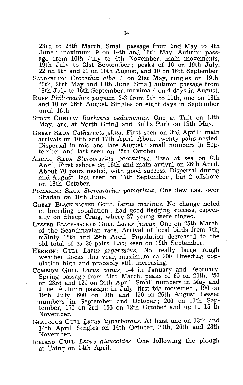23rd to 28th March. Small passage from 2nd May to 4th June; maximum, 9 on 14th and 16th May. Autumn passage from 10th July to 4th November, main movements, 19th July to 21st September; peaks of 16 on 19th July, 22 on 9th and 21 on 10th August, and 10 on 16th September.

- SANDERLING *Crocethia alba.* 2 on 21st May, singles on 19th, 20th, 26th May and 13th June. Small autumn passage from 18th July to 16th September, maxima 4 on 4 days in August.
- RUFF *Philomachus pugnax.* 2-3 from 9th to 11th, one on 18th and 10 on 26th August. Singles on eight days in September until 16th.
- STONE CURLEW *Burhinus oedicnemus.* One at Taft on 18th May, and at North Grind and Bull's Park on 19th May.
- GREAT SKUA *Catharacta.skua.* First seen on 3rd April; main arrivals on 10th and 17th April. About twenty pairs nested. Dispersal in mid and late August; small numbers in September and last seen on 25th October.
- ARCTIC SKUA *Stercorarius parasiticus.* Two at sea on 6th April. First ashore on 16th and main arrival on 26th April. About 70 pairs nested, with good success. Dispersal during mid-August, last seen on 17th September; but 2 offshore on 18th October.
- POMARINE SKUA *Stercorarius pomarinus.* One flew east over Skadan on 10th June.
- GREAT BLACK-BACKED GULL *Larus marinus.* No change noted in breeding population; had good fledging success, especially on Sheep Craig, where  $27$  young were ringed.
- LESSER BLACK-BACKED GULL *Larus fUscus.* One on 25th March, of the Scandinavian race. Arrival of local birds from 7th, mainly 18th and 29th April. Population decreased to the old total of ca 30 pairs. Last seen on 19th September.
- HERRING GULL Larus argentatus. No really large rough weather flocks this year, maximum ca 200. Breeding population high and probably still increasing.
- COMMON GULL *Larus canus.* 1-4 in January and February. Spring passage from 23rd March, peaks of 60 on 20th, 250 on 23rd and 120 on 24th April. Small numbers in May and June. Autumn passage in July, first big movement, 196 on 19th July. 600 on 9th and 450 on 26th August. Lesser numbers in September and October; 200 on 11th Sep-. tember, 170 on 3rd, 150 on 12th October and up to 15 in November.
- GLAUCOUS GULL *Jftrus hyperboreus.* At least one on 13th and 14th April. Singles on 14th October, 20th, 26th and 28th November.
- ICELAND GULL *Larus glaucoides.* One following the plough at Taing on 14th April.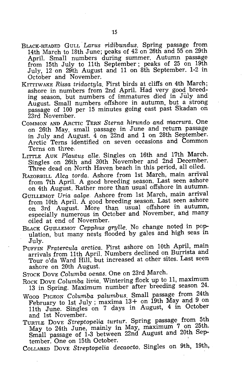- BLACK-HEADED GULL· *Larus ridibundus.* Spring passage from 14th March to 18th June; peaks of 42 on 26th and 55 on 29th April. Small numbers during summer. Autumn passage from 15th July to 11th September; peaks of 25 on 19th July, 12 on 29th August and 11 on 8th September. 1-2 in October and November.
- KITTIWAKE *Rissa tridactyla.* First birds at cliffs on 4th March; ashore in numbers from 2nd April. Had very good breeding season, but numbers of immatures died in July and August. Small numbers offshore in autumn, but a strong passage of 100 per 15 minutes going east past Skadan on 23rd November.
- COMMON AND ARCTIC TERN *Sterna hirundo' and macrura.* One on 26th May, small passage in June and return passage in July and August. 4 on 22nd and 1 on 28th September. Arctic Terns identified on seven occasions and Common Terns on three.
- LITTLE AUK *Plautus alle.* Singles on 16th and 17th March. Singles on 26th and 30th November and 2nd December. Three dead on North Haven beach in this period, all oiled.
- RAZORBILL *Alca torda.* Ashore from 1st March, main arrival from 7th April. A good breeding season. Last seen ashore on 4th August. Rather more than usual offshore in autumn.
- GUILLEMOT *Uria aalge.* Ashore from 1st March, main arrival from 10th April. A good breeding season. Last seen ashore on 3rd August. More than usual offshore in autumn, especially numerous in October and November, and many oiled at end of November.
- BLACK GUILLEMOT *Cepphus grylle.* No change noted in population, but many nests flooded by gales and high seas in July.
- PUFFIN *Fratercula arctica.* First ashore on 10th April, main arrivals from 11th April. Numbers declined on Burrista and Tour o'da Ward Hill, but increased at other sites. Last seen ashore on 20th August.
- STOCK DOVE Columba oenas. One on 23rd March.
- Rock Dove Columba livia. Wintering flock up to 11, maximum 13 in Spring. Maximum number after breeding season 24.
- WOOD PIGEON *Columba palumbus.* Small passage from 24th February to 1st July; maxima 13+ on 19th May and 9 on 11th June. Singles on 7 days in August, 4 in October and 1st November.
- TURTLE DOVE *Streptopelia turtur.* Spring passage from 5th May to 24th June, mainly in May, maximum 7 on 25th. Small passage of 1-3 between 22nd August and 20th September. One on 15th October.
- COLLARED DOVE *Streptopelia decaocto.* Singles on 9th, 19th,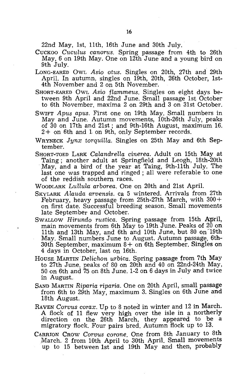22nd May, 1st, 11th, 16th June and 30th July.

- CUCKOO *Cuculus canorus.* Spring passage from 4th to 26th May, 6 on 19th May. One on 12th June and a young bird on 9th July.
- LONG-EARED OWL *Asia otus.* Singles on 20th, 27th and 29th April. In autumn, singles on 19th, 20th, 26th October, 1st-4th November and 2 on 5th November.
- SHORT-EARED OWL *Asio flammeus.* Singles on eight days between 9th April and 22nd June. Small passage 1st October to 6th November. maxima 2 on 29th and 3 on 31st October.
- SWIFT *Apus apus.* First one on 19th May. Small numbers in May and June. Autumn movements, 10th-26th July, peaks of 30 on 17th and 21st; and 9th-16th August, maximum 16. 2+ on 6th and 1 on 9th, only September records.
- WRYNECK *Jynx torquilla.* Singles on 25th May and 6th September.
- SHORT-TOED LARK *Calandrella cinerea.* Adult on 15th May at May, and a bird of the year at Taing, 9th-11th July. The last one was trapped and ringed; all were referable to one of the reddish southern races.
- WOODLARK *Lullula arborea.* One on 20th and 21st April.
- SKYLARK *Alauda arvensis.* ca 5 wintered. Arrivals from 27th February, heavy passage from 25th-27th March, with  $300 +$ on first date. Successful breeding season. Small movements late September and October.
- SwALLOW *Hirundo rustica*. Spring passage from 15th April, main movements from 6th May to 19th June. Peaks of 20 on 11th and 13th May, and 6th and 10th June, but 80 on 19th May. Small numbers June to August. Autumn passage, 6th- $30<sup>th</sup>$  September, maximum  $8 +$  on 6th September. Singles on 4 days in October, last on 16th.
- HOUSE MARTIN *Delichon urbica.* Spring passage from 7th May to 27th June, peaks of 80 on 20th and 40 on 22nd-24th May, 50 on 6th and 75 on 8th June. 1-2 on 6 days in July and twice in August.
- SAND MARTIN *Riparia riparia.* One on 20th April, small passage from 6th to 29th May, maximum 3. Singles on 6th June and 18th August.
- RAVEN *Corvus corax.* Up to 8 noted in winter and 12 in March. A flock of 11 flew very high over the isle in a northerly direction on the 26th March, they appeared to be a migratory flock. Four pairs bred. Autumn flock up to 13.
- CARRION CROW *Corvus corone.* One from 8th January to 8th March. 2 from 10th April to 30th April. Small movements up to 15 between 1st and 19th May and then, probably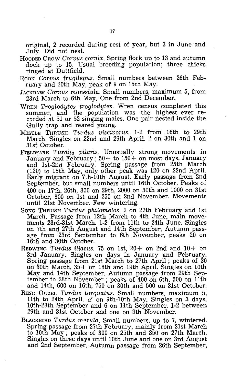original, 2 recorded during rest of year, but 3 in June and July. Did not nest.

- HOODED CROW *Corvus cornix.* Spring flock up to 13 and autumn flock up to 15. Usual breeding population; three chicks ringed at Duttfield.
- ROOK Corvus frugilegus. Small numbers between 26th February and 20th May, peak of 9 on 15th May.
- JACKDAW *Corvus monedu.la.* Small numbers, maximum 5, from 23rd March to 6th May. One from 2nd December.
- WREN *Troglodytes troglodytes.* Wren census completed this summer, and the population was the highest ever recorded at 51 or 52 singing males. One pair nested inside the Gully trap and reared young.
- MrSTLE THRUSH *Turdus viscivorus.* 1-2 from 16th to 29th March. Singles on 22nd and 29th April. 2 on 30th and 1 on 31st October.
- FIELDFARE *Turdus pilaris.* Unusually strong movements in January and February;  $50+$  to  $150+$  on most days, January and 1st-2nd February. Spring passage from 25th March (120) to 18th May, only other peak was 120 on 22nd April. Early migrant on 7th-10th August. Early passage from· 2nd September, but small numbers until 16th October. Peaks of 400 on 17th, 26th, 800 on 29th, 2000 on 30th and 1000 on 31st October, 800 on 1st and 250 on 2nd November. Movements until 21st November. Few wintering.
- SONG THRUSH *Turdus philomelos.* 2 on 27th February and 1st March. Passage from 12th March to 4th June, main movements 23rd-31st March. 1-2 from 11th to 24th June. Singles on 7th and 27th August and 14th September. Autumn passage from 23rd September to 6th November, peaks 20 on 16th and 30th October.
- REDWING *Turdus iliacus.* 75 on 1st, 20+ on 2nd and 10+ on 3rd January. Singles on days in January and February. Spring passage from 21st March to 27th April; peaks of 30 on 30th March,  $35 +$  on 18th and 19th April. Singles on 10th May and 14th September. Autumn passage from 29th September to 28th November; peaks of 400 on 6th, 500 on 11th and 14th, 600 on 16th, 750 on 30th and 500 on 31st October.
- RING OUZEL *Turdus torquatus.* Small numbers, maximum 5, 11th to 24th April. *cf* on 9th-10th May. Singles on 3 days, 10th-28th September and 6 on 11th September. 1-2 between 29th and 31st October and one on 9th November.
- BLACKBIRD *Turdus merula.* Small numbers, up to 7, wintered. Spring passage from 27th February, mainly from 21st March to 10th May; peaks of 300 on 25th and 350 on 27th March. Singles on three days until 10th June and one on 3rd August and 2nd September. Autumn passage from 26th September,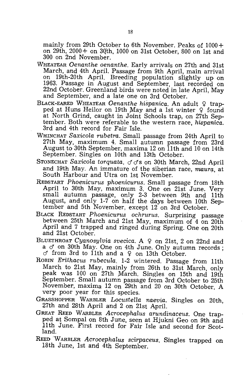mainly from 29th October to 6th November. Peaks of 1000+ on 29th,  $2000 +$  on 30th, 1000 on 31st October, 800 on 1st and 300 on 2nd November.

- WHEATEAR *Oenanthe oenanthe.* Early arrivals on 27th and 31st March, and 4th April. Passage from 9th April, main arrival on 19th-20th April. Breeding population slightly up on 1963. Passage in August and September, last recorded on 22nd October. Greenland birds were noted in late April, May and September, and a late one on 3rd October.
- BLACK-EARED WHEATEAR *Oenanthe hispanica*. An adult 9 trapped at Huns Heilor on 19th May and a 1st winter  $\varphi$  found at North Grind, caught in Joint Schools trap, on 27th September. Both were referable to the western race, *hispanica.*  3rd and 4th record for Fair Isle.
- WHINCHAT *S'axicola rubetra.* Small passage from 24th April to 27th May, maximum 4. Small autumn passage from 23rd August to 30th September, maxima 12 on 11th and 10 on 14th September. Singles on 10th and 13th October.
- STONECHAT Saxicola torquata. c<sup>o</sup>c<sup>s</sup> on 30th March, 22nd April and 19th May. An immature of the siberian race, *maura,* at South Harbour and Utra on 1st November.
- REDSTART *Phoenicurus phoenicurus.* Small passage from 18th April to 30th May, maximum 3. One on 21st June. Very small autumn passage, only 2-3 between 9th and 11th August, and only 1-7 on half the days between 10th September and 5th November, except 12 on 3rd October.
- BLACK REDSTART *Phoenicurus ochrurus.* Surprising passage between 25th March and 21st May, maximum of 4 on 20th April and 7 trapped and ringed during Spring. One on 20th and 21st October.
- BLUETHROAT *Cyanosylvia svecica*. A 9 on 21st, 2 on 22nd and a  $\sigma$  on 30th May. One on 4th June. Only autumn records;  $\sigma$  from 3rd to 11th and a  $\varphi$  on 13th October.
- ROBIN *Erithacus rubecula.* 1-2 wintered. Passage from 11th March to 21st May, mainly from 26th to 31st March, only  $\beta$  peak was 100 on 27th March. Singles on 15th and 19th September. Small autumn passage from 3rd October to 25th November, maxima 12 on 29th and 20 on 30th October. A very poor year for this species.
- GRASSHOPPER WARBLER *Locustella naevia.* Singles on 20th, 27th and 28th April and 2 on 21st April.
- GREAT REED WARBLER *Acrocephalus arundinaceus.* One trapped at Sompal on 8th June, seen at Hjukni Geo on 9th and 11th June. First record for Fair Isle and second for Scotland. The contract of the contract of the contract of the contract of the contract of the contract of the contract of the contract of the contract of the contract of the contract of the contract of the contract of the cont
- REED 'WARBLER *AcrocephaLus scirpaceus.* Singles trapped on 18th June, 1st and 4th September.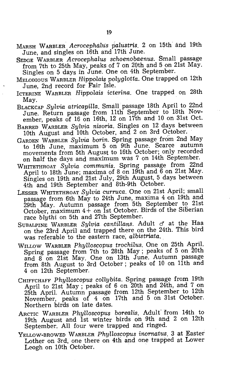- MARSH WARBLER *Acrocephalus palustris.* 2 on 15th arid 19th June, and singles on 16th and 17th June.
- SEDGE WARBLER *Acrocephalus schoenobaenus.* Small passage from 7th to 25th May, peaks of 7 on 20th and 5 on 21st May. Singles on 5 days in June. One on 4th September.
- MELODIOUS WARBLER *Hippolais polyglotta.* One trapped on 12th June, 2nd record for Fair Isle.
- ICTERINE WARBLER *Hippolais icterina.* One trapped on 28th May.
- BLACKCAP *Sylvia atricapilla.* Small passage 18th April to 22nd June. Return passage from 11th September to 18th November, peaks of 16 on 16th, 12 on 17th and 10 on 31st Oct.
- BARRED WARBLER *Sylvia nisoria.* Singles on 12 days between 10th August and 10th October, and 2 on 3rd October.
- GARDEN WARBLER *Sylvia borin.* Spring passage from 2nd May to 16th June, maximum 5 on 9th June. Scarce autumn movements from 5th August to 16th October; only recorded on half the days and maximum was 7 on 14th September.
- WHITETHROAT *Sylvia communis.* Spring passage from 22nd April to 18th June; maxima of 8 on 19th and 6 on 21st May. Singles on 19th and 21st July, 29th August, 5 days between 4th and 19th September and 8th-9th October.
- LESSER WHITETHROAT *Sylvia curruca.* One on 21st April; small passage from 6th May to 24th June, maxima 4 on 19th and 29th May. Autumn passage from 5th September to 21st October, maximum  $4+$  on  $\overline{1}$ st October. Birds of the Siberian race *blythi* on 5th and 27th September.
- SUBALPINE WARBLER *Sylvia. cantillans.* Adult *cf* at the Haa on the 23rd April and trapped there on the 24th. This bird was referable to the eastern race; *albistriata.*
- WILLOW WARBLER *Phylloscopus trochilus.* One on 25th April. Spring passage from 7th to 28th May; peaks of 5 on 20th and 8 on 21st May. One on 13th June. Autumn passage from 8th August to 3rd October; peaks of 10 on 11th and 4 on 12th September.
- CHIFFCHAFF Phylloscopus collybita. Spring passage from 19th April to 21st May; peaks of 6 on 20th and 24th, and 7 on 25th April. Autumn passage from 12th September to 12th November, peaks of 4 on 17th and 5 on 31st October. Northern birds on late dates.
- ARCTIC WARBLER *Phylloscopus borealis*. Adult from 14th to 19th August and 1st winter birds on 9th and 2 on 12th September. All four were trapped and ringed.
- YELLOW-BROWED WARBLER *Phylloscopus inornatus.* 3 at Easter Lother on 3rd, one there on 4th and one trapped at Lower Leogh on 10th October.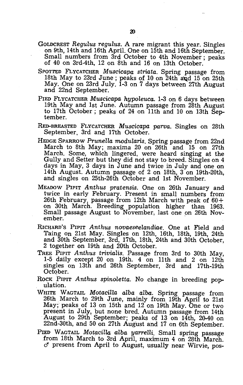- GOLDCREST *Regulus regulus.* A rare migrant this year. Singles on 9th, 14th and 16th April. One on 15th and 16th September. Small numbers from 3rd October to 4th November; peaks of 40 on 3rd-4th, 12 on 8th and 16 on 13th October.
- SPOTTED FLYCATCHER *Muscicapa striata*. Spring passage from 18th May to 23rd June; peaks of 10 on 24th and 15 on 25th May. One on 23rd July. 1-3 on 7 days between 27th August and 22nd September.
- PIED FLYCATCHER *Muscicapa hypoleuca*. 1-3 on 6 days between 19th May and 1st June. Autumn passage from 28th August to 17th October; peaks of 24 on 11th and 10 on 13th September.
- RED-BREASTED FLYCATCHER *Muscicapa parva*. Singles on 28th September, 3rd and 17th October.
- HEDGE SPARROW Prunella modularis. Spring passage from 22nd March to 8th May; maxima 20 on 26th and  $15$  on 27th March. Some, which lingered, were heard singing at the Gully and Setter but they did not stay to breed. Singles on 4 days in May, 3 days in June and twice in July and one on 14th August. Autumn passage of 2 on 18th, 3 on 19th-20th, and singles on 25th-26th October and 1st November.
- MEADOW PIPIT *Anthus pratensis*. One on 26th January and twice in early February. Present in small numbers from 26th February, passage from 12th March with peak of 60+ on 30th March. Breeding population higher than 1963. Small passage August to November, last one on 26th November.
- RICHARD'S PIPIT *Anthus novaeseelandiae.* One at Field and Taing on 21st May. Singles on 12th, 16th, 18th, 19th, 24th and 30th September, 3rd, 17th, 18th, 24th and 30th October, 2 together on 19th and 20th October.
- TREE PIPIT Anthus trivialis. Passage from 3rd to 30th May, 1-5 daily except 20 on 19th. 4 on 11th and 2 on  $12th$ singles on 13th and 26th September, 3rd and 17th-19th October.
- ROCK PIPIT Anthus spinoletta. No change in breeding population.
- WHITE WAGTAIL *Motacilla alba alba.* Spring passage from 26th . March to. 29th June, mainly from 19th April to 21st May; peaks of 13 on 15th and 12 on 19th May. One or two present in July, but none bred. Autumn passage from 14th August to 29th September; peaks of 13 on 14th, 20-40 on 22nd-30th, and 50 on 27th August and 17 on 6th September.

PIED WAGTAIL *Motacilla alba yarrelli*. Small spring passage from 18th March to 3rd April, maximum 4 on 28th March.  $\sigma$  present from April to August, usually near Wirvie, pos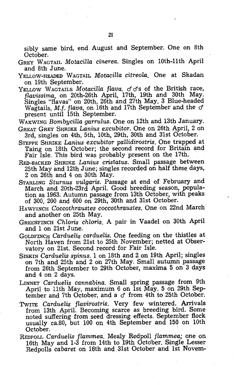sibly same bird, end August and September. One on 8th October.

- GREY WAGTAIL *MotacilZa cinerea.* Singles on 10th-11th April and 8th June.
- YELLOW-HEADED WAGTAIL *Motacilla citreola*. One at Skadan on 19th September.
- YELLOW WAGTAILS *Motacilla flava.*  $\sigma \sigma s$  of the British race, *jLavissima,* on 20th-26th April, 17th, 19th and 30th May. Singles "flavas" on 20th, 26th and 27th May. 3 Blue-headed Wagtails, *M.f. flava,* on 16th and 17th September and the *cf*  present until 15th September.
- WAXWING *BombyciUa garrulus.* One on 12th and 13th January.
- GREAT GREY SHRIKE *Lanius excubitor.* One on 26th April, 2 on 3rd, singles on 4th, 5th, 10th, 29th, 30th and 31st October.
- STEPPE SHRIKE *Lanius excubitor pallidirostris*. One trapped at Taing on 18th October; the second record for Britain and Fair Isle. This bird was probably present on the 17th.
- RED-BACKED SHRIKE *Lanius cristatus.* Small passage between 25th May and 12th June; singles recorded on half these days, 2 on 26th and 4 on 30th May.
- STARLING *Sturnus vulgaris.* Passage at end of February and March and 20th-23rd April. Good breeding season, population as 1963. Autumn passage from 13th October, with peaks of 300, 200 and 600 on 29th, 30th and 31st October.
- HAWFINCH *Coccothraustes coccothraustes.* One on 22nd March and another on 25th May.
- GREENFINCH *Chloris chloris.* A pair in Vaadel on, 30th April and 1 on 21st June.
- GOLDFINCH *Carduelis carduelis.* One feeding on the thistles at North Haven from 21st to 25th November; netted at Observatory on 21st. Second record for Fair Isle.
- SISKIN *Carduelis spinus.* 1 on 18th and 2 on 19th April; singles on 7th and 25th and 2 on 27th May. Small autumn passage from 26th September to 29th October, maxima 5 on 3 days and 4 on 2 days.
- LINNET *Carduelis cannabina*. Small spring passage from 9th April to 11th May, maximum 6 on 1st May. 5 on 29th September and 7th October, and a  $\sigma$  from 4th to 25th October.
- TwITE *Carduelis fLavirostris.* Very few wintered. Arrivals from 13th April. Becoming scarce as breeding bird. Some noted suffering from seed dressing effects. September flock usually ca.80, but 100 on 4th September and 150 oh 10th October.
- REOPOLL *Carduelis flammea.* Mealy Redpoll *fLammea;* one on 16th May and 1-3 from 14th to 19th October. Single Lesser Redpolls *cabaret* on 16th and. 31st October and 1st Novem-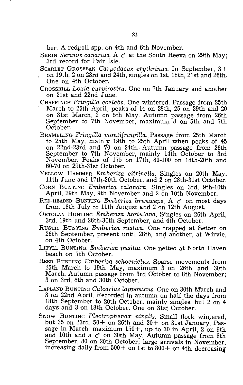ber. A redpoll spp. on 4th and 6th November.

SERIN *Serinus canarius*. A  $\sigma$  at the South Reeva on 29th May; 3rd record for Fair lsle.

SCARLET GROSBEAK *Carpodacus erythrinus.* In September, 3 +

on 19th, 2 on 23rd and 24th, singles on 1st, 18th, 21st and 26th. One on 4th October.

- CROSSBILL *Loxia curvirostra.* One on 7th January and another on 21st and 22nd June.<br>CHAFFINCH Fringilla coelebs. One wintered. Passage from 25th
- March to 25th April; peaks of 14 on 28th, 25 on 29th and 20 on 31st March. 2 on 5th May. Autumn passage from 26th September to 7th November, maximum 8 on 5th and 7th October.
- BRAMBLING *Fringilla montifringilla.* Passage from 25th March to 25th May, mainly 19th to 25th April when peaks of 45 on 22nd-23rd and 70 on 24th. Autumn passage from 26th September to 7th November, mainly 14th October to 3rd November. Peaks of 175 on 17th, 80-100 on 18th-20th and 60-70 on 29th-31st October. .
- YELLOW HAMMER *Emberiza citrinella.* Singles on 20th May, 11th June and 17th-20th October, and 2 on 28th-31st October.
- CORN BUNTING *Emberiza calandra.* Singles on 3rd, 9th-10th April, 29th May, 9th November and 2 on 10th November.
- RED-HEADED BUNTING *Emberiza bruniceps.* A *d'* on most days from 18th July to 11th August and 2 on 12th August.
- ORTOLAN BUNTING *Emberiza hortulana.* Singles on 26th April, 3rd, 19th and 26th-30th September, and 4th October.
- RUSTIC BUNTING *Emberiza rustica.* One trapped at Setter on  $26th$  September, present until  $28th$ , and another, at Wirvie, on 4th October.
- LITTLE BUNTING. *Emberiza pusilla.* One netted at North Haven beach on 7th October.
- REED BUNTING *Emberiza schoeniclus.* Sparse movements from 25th March to 19th May, maximum 3 on 26th and 30th March. Autumn passage from 3rd October to 8th November; 3 on 3rd, 6th and 30th October.
- LAPLAND BUNTING *Calcarius lapponicus.* One on 30th March and 3 on 22nd April. Recorded in autumn on half the days from 18th September to 20th October, mainly singles, but 2 on 4 days and 3 on 18th October. One on 31st October.
- SNOW BUNTING *Plectrophenax nivalis.* Small flock wintered, but 35 on 23rd,  $50+$  on 26th and  $30+$  on 31st January. Passage in March, maximum  $150 +$ , up to 30 in April, 2 on 9th and 10th and a *d'* on 30th May. Autumn passage from 8th September, 80 on 20th October; large arrivals in November, increasing daily from  $500+$  on 1st to  $800+$  on 4th, decreasing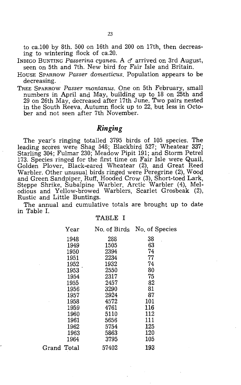to ca.100 by 8th. 500 on 16th and 200 on 17th, then decreasing to wintering flock of ca.20.

INDIGO BUNTING Passerina cyanea. A  $\sigma$  arrived on 3rd August, seen on 5th and 7th. New bird for Fair Isle and Britain.

- HOUSE SPARROW *Passer domesticus.* Population appears to be decreasing.
- TREE SPARROW *Passer montanus.* One on 5th February, small numbers in April and May, building up to 18 on 25th and 29 on 26th May, decreased after 17th June. Two pairs nested in the South Reeva. Autumn flock up to 22, but less in October and not seen after 7th November.

#### *Ringing*

The year's ringing totalled 3795 birds of 105 species. The leading scores were Shag 548; Blackbird 527; Wheatear 337; Starling 304; Fulmar 230; Meadow Pipit 191; and Storm Petrel 173. Species ringed for the first time on Fair Isle were Quail, Golden Plover, Black-eared Wheatear (2), and Great Reed Warbler. Other unusual birds ringed were Peregrine (2), Wood and Green Sandpiper, Ruff, Hooded Crow (3), Short-toed Lark, Steppe Shrike, Subalpine Warbler, Arctic Warbler (4), Melodious and Yellow-browed Warblers, Scarlet Grosbeak (2), Rustic and Little Buntings.

The annual and cumulative totals are brought up to date in Table 1.

#### TABLE I

| Year        | No. of Birds | No. of Species |
|-------------|--------------|----------------|
| 1948        | 288          | 38             |
| 1949        | 1505         | 63             |
| 1950        | 2394         | 74             |
| 1951        | 2234         | 77             |
| 1952        | 1932         | 74             |
| 1953        | 2550         | 80             |
| 1954        | 2317         | 75             |
| 1955        | 2457         | 82             |
| 1956        | 3290         | 81             |
| 1957        | 2924         | 87             |
| 1958        | 4572         | 101            |
| 1959        | 4761         | 116            |
| 1960        | 5110         | 112            |
| 1961        | 5656         | 111            |
| 1962        | 5754         | 125            |
| 1963        | 5863         | 120            |
| 1964        | 3795         | 105            |
| Grand Total | 57402        | 193            |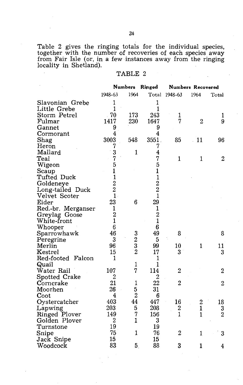Table 2 gives the ringing totals for the individual species, together with the number of recoveries of each species away from Fair Isle (or, in a few instances away from the ringing locality in Shetland).

#### TABLE 2

|                                | <b>Numbers</b>                                |                | Ringed                                          | Numbers Recovered |                  |                |  |
|--------------------------------|-----------------------------------------------|----------------|-------------------------------------------------|-------------------|------------------|----------------|--|
|                                | 1948-63                                       | 1964           | Total                                           | 1948-63           | 1964             | Total          |  |
| Slavonian Grebe                | 1                                             |                | 1                                               |                   |                  |                |  |
| Little Grebe                   | $\mathbf{1}$                                  |                | $\mathbf{1}$                                    |                   |                  |                |  |
| Storm Petrel                   | 70                                            | 173            | 243                                             | 1                 |                  | 1              |  |
| Fulmar                         | 1417                                          | 230            | 1647                                            | 7                 | $\overline{2}$   | 9              |  |
| Gannet                         | 9                                             |                | 9                                               |                   |                  |                |  |
| Cormorant                      | 4                                             |                | 4                                               |                   |                  |                |  |
| Shag                           | 3003                                          | 548            | 3551                                            | 85                | 11               | 96             |  |
| Heron                          | 7                                             |                | 7                                               |                   |                  |                |  |
| Mallard                        | 3                                             | $\mathbf{1}$   | 4                                               |                   |                  |                |  |
| $\operatorname{\textsf{Teal}}$ | 7                                             |                | 7                                               | 1                 | 1                | 2              |  |
| Wigeon                         | 5                                             |                | 5                                               |                   |                  |                |  |
| Scaup                          | $\frac{1}{1}$                                 |                |                                                 |                   |                  |                |  |
| Tufted Duck                    |                                               |                | $\begin{smallmatrix}1\1\2\2\1\end{smallmatrix}$ |                   |                  |                |  |
| Goldeneye                      | $\begin{bmatrix} 2 \\ 2 \\ 1 \end{bmatrix}$   |                |                                                 |                   |                  |                |  |
| Long-tailed Duck               |                                               |                |                                                 |                   |                  |                |  |
| Velvet Scoter                  |                                               |                |                                                 |                   |                  |                |  |
| Eider                          | 23                                            | 6              | 29                                              |                   |                  |                |  |
| Red.-br. Merganser             | 1                                             |                | $\mathbf{1}$                                    |                   |                  |                |  |
| Greylag Goose                  | $\begin{smallmatrix} 2 \ 1 \end{smallmatrix}$ |                | $\frac{2}{1}$                                   |                   |                  |                |  |
| White-front                    |                                               |                |                                                 |                   |                  |                |  |
| Whooper                        | 6                                             |                | $\boldsymbol{6}$                                |                   |                  |                |  |
| Sparrowhawk                    | 46                                            |                | 49                                              | 8                 |                  | 8              |  |
| Peregrine                      | 3                                             |                | $\overline{5}$                                  |                   |                  |                |  |
| Merlin                         | 96                                            | $\frac{3}{2}$  | 99                                              | 10                | 1                | 11             |  |
| Kestrel                        | 15                                            | $\bar{2}$      | 17                                              | 3                 |                  | 3              |  |
| Red-footed Falcon              | 1                                             |                | $\mathbf{1}$                                    |                   |                  |                |  |
| Quail                          |                                               | 1              | $\mathbf{1}$                                    |                   |                  |                |  |
| Water Rail                     | 107                                           | 7              | 114                                             | $\boldsymbol{2}$  |                  | 2              |  |
| Spotted Crake                  | $\overline{c}$                                |                | $\overline{c}$                                  |                   |                  |                |  |
| Corncrake                      | 21                                            | 1              | 22                                              | $\overline{2}$    |                  | $\overline{2}$ |  |
| Moorhen                        | 26                                            | 5              | 31                                              |                   |                  |                |  |
| Coot                           | 4                                             | $\overline{2}$ | 6                                               |                   |                  |                |  |
| Oystercatcher                  | 403                                           | 44             | 447                                             | 16                | $\boldsymbol{2}$ | 18             |  |
| Lapwing                        | 203                                           | 5              | 208                                             | $\boldsymbol{2}$  | $\mathbf{1}$     | 3              |  |
| Ringed Plover                  | 149                                           | 7              | 156                                             | $\overline{1}$    | $\mathbf{1}$     | $\overline{2}$ |  |
| Golden Plover                  | 2                                             | $\mathbf{1}$   | 3                                               |                   |                  |                |  |
| Turnstone                      | 19                                            |                | 19                                              |                   |                  |                |  |
| Snipe                          | 75                                            | 1              | 76                                              | $\overline{2}$    | 1                | 3              |  |
| Jack Snipe                     | 15                                            |                | 15                                              |                   |                  |                |  |
| Woodcock                       | 83                                            | 5.             | 88                                              | 3                 | 1                | 4              |  |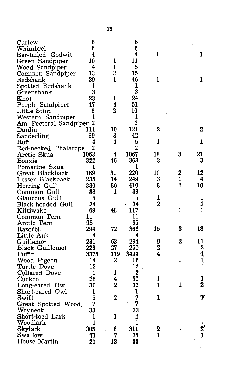| Curlew                   | 8          |                | 8              |                |                |                |  |
|--------------------------|------------|----------------|----------------|----------------|----------------|----------------|--|
| Whimbrel                 | 6          |                | 6              |                |                |                |  |
| Bar-tailed Godwit        | 4          |                | 4              | $\mathbf{1}$   |                | $\mathbf{1}$   |  |
| Green Sandpiper          | 10         | 1              | 11             |                |                |                |  |
| Wood Sandpiper           | 4          | 1              | 5              |                |                |                |  |
| Common Sandpiper         | 13         | $\overline{2}$ | 15             |                |                |                |  |
| Redshank                 | 39         | 1              | 40             | 1              |                | 1              |  |
| Spotted Redshank         | 1          |                | 1              |                |                |                |  |
| Greenshank               | 3          |                | 3              |                |                |                |  |
| Knot                     | 23         | 1              | 24             |                |                |                |  |
| Purple Sandpiper         | 47         | 4              | 51             |                |                |                |  |
| Little Stint             | 8          | 2              | 10             |                |                |                |  |
| Western Sandpiper        | 1          |                | 1              |                |                |                |  |
| Am. Pectoral Sandpiper 2 |            |                | $\overline{2}$ |                |                |                |  |
| Dunlin                   | 111        | 10             | 121            | $\overline{2}$ |                | $\bf{2}$       |  |
| Sanderling               | 39         | 3              | 42             |                |                |                |  |
| Ruff                     | 4          | 1              | 5              | 1              |                | 1              |  |
| Red-necked Phalarope     | 2          |                | 2              |                |                |                |  |
| Arctic Skua              | 1063       | 4              | 1067           | 18             | 3              | 21             |  |
| Bonxie                   | 322        | 46             | 368            | 3              |                | 3              |  |
| Pomarine Skua            | 1          |                | 1              |                |                |                |  |
| Great Blackback          | 189        | 31             | 220            | 10             | 2              | 12             |  |
| Lesser Blackback         | 235        | 14             | 249            | 3              | 1              | 4              |  |
| Herring Gull             | 330        | 80             | 410            | 8              | 2              | 10             |  |
| Common Gull              | 38         | 1              | 39             |                |                |                |  |
| Glaucous Gull            | 5          |                | 5              | 1              |                | 1              |  |
| Black-headed Gull        | 34         |                | 34             | $\overline{2}$ |                | $\overline{2}$ |  |
| Kittiwake                | 69         | 48             | 117            |                | 1              | $\mathbf{1}$   |  |
| Common Tern              | 11         |                | 11             |                |                |                |  |
| Arctic <b>T</b> ern      | 95         |                | 95             |                |                |                |  |
| Razorbill                | 294        | 72             | 366            | 15             | 3              | 18             |  |
| Little Auk               | 4          |                | 4              |                |                |                |  |
| Guillemot                | 231        | 63             | 294            | 9              | $\overline{2}$ | 11             |  |
| Black Guillemot          | 223        | 27             | 250            | $\overline{2}$ |                | $\mathbf 2$    |  |
| Puffin                   | 3375       | 119            | 3494           | 4              |                |                |  |
| Wood Pigeon              | 14         | 2              | 16             |                | 1              | $\frac{4}{1}$  |  |
| Turtle Dove              | 12         |                | 12             |                |                |                |  |
| Collared Dove            | 1          | 1              | $\overline{2}$ |                |                |                |  |
| Cuckoo                   | 26         | 4              | 30             | 1              |                | 1              |  |
| Long-eared Owl           | 30         | $\overline{2}$ | 32             | 1              | 1              | 2              |  |
| Short-eared Owl          | 1          |                | $\cdot$ 1      |                |                |                |  |
| Swift                    | 5          | 2              | 7              | 1              |                | ľ              |  |
| Great Spotted Wood.      | 7          |                | 7              |                |                |                |  |
| Wryneck                  | 33         |                | 33             |                |                |                |  |
| Short-toed Lark          | 1          | 1              | $\overline{2}$ |                |                |                |  |
|                          | 1          |                | $\mathbf{1}$   |                |                |                |  |
| Woodlark<br>Skylark      |            |                | 311            | $\bf{2}$       |                |                |  |
| Swallow                  | 305        | 6<br>7         | 78             | 1              |                | 1              |  |
| House Martin             | 71         |                |                |                |                |                |  |
|                          | $\cdot$ 20 | 13             | 33             |                |                |                |  |
|                          |            |                |                |                |                |                |  |

25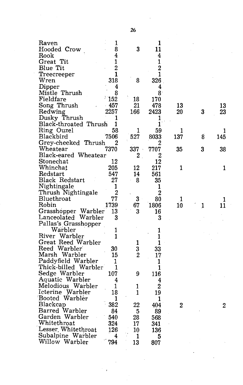| Raven                  | $\mathbf{1}$   |                | 1              |                |   |     |
|------------------------|----------------|----------------|----------------|----------------|---|-----|
| Hooded Crow            | 8              | 3              | 11             |                |   |     |
| Rook                   | 4              |                | 4              |                |   |     |
| Great Tit              | 1              |                | 1              |                |   |     |
| Blue Tit               | $\overline{2}$ |                | $\overline{2}$ |                |   |     |
| Treecreeper            | 1              |                | 1              |                |   |     |
| Wren                   | 318            | 8              | 326            |                |   |     |
| Dipper                 | 4              |                | 4              |                |   |     |
| Mistle Thrush          | 8              |                | 8.             |                |   |     |
| Fieldfare              | 152            | 18             | 170            |                |   |     |
| Song Thrush            | $-457$         | 21             | 478            | 13             |   | 13  |
| Redwing                | 2257           | 166            | 2423           | 20             | 3 | 23  |
| Dusky Thrush           | 1              |                | 1              |                |   |     |
| Black-throated Thrush  | 1              |                | 1              |                |   |     |
| Ring Ouzel             | 58             | 1              | 59             | 1              |   | 1   |
| Blackbird              | 7506           | 527            | 8033           | 137            | 8 | 145 |
| Grey-cheeked Thrush    | 2              |                | 2              |                |   |     |
| Wheatear               | 7370           | 337            | 7707           | 35             | 3 | 38  |
| Black-eared Wheatear   |                | 2              | 2              |                |   |     |
| Stonechat              | 12             |                | 12             |                |   |     |
| Whinchat               | 205            | 12             | 217            | 1              |   | 1   |
| Redstart               | 547            | 14             | 561            |                |   |     |
| <b>Black Redstart</b>  | 27             | 8              | 35             |                |   |     |
| Nightingale            | 1              |                | 1              |                |   |     |
| Thrush Nightingale     | $\overline{2}$ |                | $\overline{2}$ |                |   |     |
| Bluethroat             | 77             | 3              | 80             | 1              |   | 1   |
| Robin                  | 1739           | 67             | 1806           | 10             | 1 | 11  |
| Grasshopper Warbler    | 13             | 3              | 16             |                |   |     |
| Lanceolated<br>Warbler | 3              |                | 3              |                |   |     |
| Pallas's Grasshopper   |                |                |                |                |   |     |
| Warbler                | 1              |                | 1              |                |   |     |
| River Warbler          | 1              |                | 1              |                |   |     |
| Great Reed Warbler     |                | 1              | 1              |                |   |     |
| Reed Warbler           | 30             | 3              | 33             |                |   |     |
| Marsh Warbler          | 15             | $\overline{2}$ | 17             |                |   |     |
| Paddyfield Warbler     | 1              |                | 1              |                |   |     |
| Thick-billed Warbler   | 1              |                | 1              |                |   |     |
| Sedge Warbler          | 107            | 9              |                |                |   |     |
| Aquatic Warbler        |                |                | 116            |                |   |     |
| Melodious Warbler      | 4              |                | 4              |                |   |     |
| Icterine Warbler       | 1              | 1              | $\overline{2}$ |                |   |     |
|                        | 18             | 1              | 19             |                |   |     |
| Booted Warbler         | 1              |                | 1              |                |   |     |
| Blackcap               | 382            | 22             | 404            | $\overline{2}$ |   | 2   |
| Barred Warbler         | 84             | 5              | 89             |                |   |     |
| Garden Warbler         | 540            | 28             | 568            |                |   |     |
| Whitethroat            | 324            | 17             | 341            |                |   |     |
| Lesser Whitethroat     | 126            | 10             | 136            |                |   |     |
| Subalpine Warbler      | 4              | 1              | 5              |                |   |     |
| Willow Warbler         | 794            | 13             | 807            |                |   |     |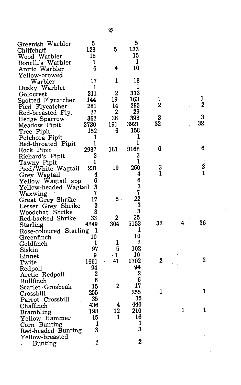| Greenish Warbler         | 5           |                         | 5              |                  |   |                |
|--------------------------|-------------|-------------------------|----------------|------------------|---|----------------|
| Chiffchaff               | 128         | 5                       | 133            |                  |   |                |
| Wood Warbler             | 15          |                         | 15             |                  |   |                |
| Bonelli's Warbler        | 1           |                         | 1              |                  |   |                |
| Arctic Warbler           | 6           | 4                       | 10             |                  |   |                |
| Yellow-browed            |             |                         |                |                  |   |                |
| Warbler                  | 17          | 1                       | 18             |                  |   |                |
| Dusky Warbler            | 1           |                         | 1              |                  |   |                |
| Goldcrest                | -311        | $\mathbf{2}$            | 313            |                  |   |                |
| Spotted Flycatcher       | 144.        | 19                      | 163            | 1                |   | 1              |
| Pied Flycatcher          | 281         | 14                      | 295            | $\overline{2}$   |   | 2              |
| Red-breasted Fly.        | 27          | $\overline{2}$          | 29             |                  |   |                |
| <b>Hedge Sparrow</b>     | 362         | 36                      | 398            | 3                |   | 3              |
| Meadow Pipit             | 3730        | 191                     | 3921           | 32               |   | 32             |
| Tree Pipit               | 152         | 6                       | 158            |                  |   |                |
| Petchora Pipit           | 1           |                         | 1              |                  |   |                |
| Red-throated Pipit       | 1           |                         | 1              |                  |   |                |
| Rock Pipit               | 2987        | 181                     | 3168           | 6                |   | 6              |
| Richard's Pipit          | 3           |                         | 3              |                  |   |                |
| Tawny Pipit              | 1           |                         | $\mathbf{1}$   |                  |   |                |
| Pied/White Wagtail       | 231         | 19                      | 250            | 3                |   | 3              |
| Grey Wagtail             | 4           |                         | 4              | 1                |   | 1              |
| Yellow Wagtail spp.      | 6           |                         | 6              |                  |   |                |
| Yellow-headed Wagtail    | 3           |                         | 3              |                  |   |                |
| Waxwing                  | 7           |                         | 7              |                  |   |                |
| Great Grey Shrike        | 17          | 5.                      | 22             |                  |   |                |
| Lesser Grey Shrike       | 3           |                         | 3              |                  |   |                |
| Woodchat Shrike          | 3           |                         | 3              |                  |   |                |
| Red-backed Shrike        | 33          | 2                       | 35             |                  |   |                |
| Starling                 | 4849        | 304                     | 5153           | 32               | 4 | 36             |
| Rose-coloured Starling 1 |             |                         | 1              |                  |   |                |
| Greenfinch               | 10          |                         | 10             |                  |   |                |
| Goldfinch                | 1           | 1                       | 2              |                  |   |                |
|                          | 97          | $\overline{\mathbf{5}}$ | 102            |                  |   |                |
| Siskin                   | 9           | $-1$                    | 10             |                  |   |                |
| Linnet                   | 1661        | 41                      | 1702           | $\boldsymbol{2}$ |   | $\overline{2}$ |
| Twite                    | 94          |                         | 94             |                  |   |                |
| Redpoll                  | $\mathbf 2$ |                         | 2              |                  |   |                |
| Arctic Redpoll           | 6           |                         | 6              |                  |   |                |
| Bullfinch                | 15          | $\mathbf 2$             | 17             |                  |   |                |
| Scarlet Grosbeak         | 255         |                         | 255            | $\cdot$ 1        |   | 1              |
| Crossbill                | 35          |                         | 35             |                  |   |                |
| Parrot Crossbill         |             | 4                       | 440            |                  |   |                |
| Chaffinch                | 436<br>198  | 12                      | 210            |                  | 1 | 1              |
| <b>Brambling</b>         |             | 1                       | 16             |                  |   |                |
| Yellow Hammer            | $15 -$      |                         | $\mathbf{1}$ . |                  |   |                |
| Corn Bunting             | 1           |                         | 3              |                  |   |                |
| Red-headed Bunting       | 3           |                         |                |                  |   |                |
| Yellow-breasted          |             |                         | $\overline{2}$ |                  |   |                |
| <b>Bunting</b>           | 2           |                         |                |                  |   |                |

Zl

 $\overline{\phantom{a}}$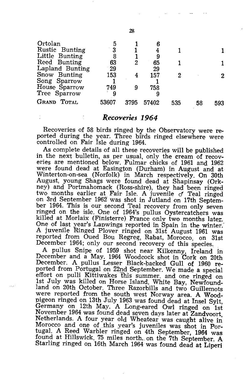| Ortolan         | 5     |      | 6     |     |    |     |
|-----------------|-------|------|-------|-----|----|-----|
| Rustic Bunting  | 3     |      |       |     |    |     |
| Little Bunting  | 8     |      | 9     |     |    |     |
| Reed Bunting    | 63    | 2    | 65    |     |    |     |
| Lapland Bunting | 29    |      | 29    |     |    |     |
| Snow Bunting    | 153   |      | 157   | 2   |    |     |
| Song Sparrow    |       |      |       |     |    |     |
| House Sparrow   | 749   | 9    | 758   |     |    |     |
| Tree Sparrow    | 9     |      |       |     |    |     |
| GRAND TOTAL     | 53607 | 3795 | 57402 | 535 | 58 | 593 |

#### *Reco'Veries* **1964**

Recoveries of 58 birds ringed by the Observatory were reported during the year. Three birds ringed elsewhere were controlled on Fair Isle during 1964.

As complete details of all these recoveries will be published in the next bulletin, as per usual, only the cream of recoveries are mentioned below. Fulmar chicks of 1961 and 1962 were found dead at Easington (Durham) in August and at Winterton-on-sea (Norfolk) in March respectively. On 30th August, young Shags were found dead at Shapinsay (Orkney) and Portmahomack (Ross-shire), they had been ringed two months earlier at Fair Isle. A juvenile  $\sigma$  Teal ringed on 3rd September 1962' was shot in Jutland on 17th September 1964. This is our second Teal recovery from only seven ringed on the isle. One of 1964's pullus Oystercatchers was killed at Morlaix (Finisterre) France only two months later. One of last year's Lapwings reported in Spain in the winter. A juvenile Ringed Plover ringed on 31st August 1961 was reported from Oued Bou Regreg, Rabat, Morocco, on 31st December 1964; only our second recovery of this species.

A pullus Snipe of 1959 shot near Kilkenny, Ireland in December and a May. 1964 Woodcock shot in Cork on 20th December. A pullus Lesser Black-backed Gull of 1960 reported from Portugal on 22nd September. We made a special effort on pulli Kittiwakes This summer. and one ringed on 1st July was killed on Horse Island, White Bay, Newfoundland on 20th October. Three Razorbills and two Guillemots were reported from the south west Norway area. A Woodpigeon ringed on 13th July 1963 was found dead at Insel Sylt, Germany on 12th May. A Long-eared Owl ringed on 1st November 1964 was found dead seven days later at Zandvoort, Netherlands. A four year old Wheatear was caught alive in Morocco and one of this year's juveniles was shot in Portugal. A Reed Warbler ringed on 4th September, 1964 was found at Hillswick, 75 miles north, on the 7th September. A Starling ringed on 16th March 1964 was found dead at Liperi

28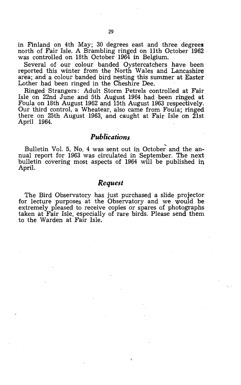in Finland on 4th May; 30 degrees east and three degrees north of Fair Isle. A Brambling ringed on 11th October 1962 was controlled on 18th October 1964 in Belgium.

Several of our colour banded Oystercatchers have been reported this winter from the North Wales and Lancashire area; and a colour banded bird nesting this summer at Easter Lother had been ringed in the Cheshire Dee.

Ringed Strangers: Adult Storm Petrels controlled at Fair Isle on 22nd June and 5th August 1964 had been ringed at Foula on 18th August 1962 and 15th August 1963 respectively. Our third' control, a Wheatear, also came from Foula; ringed there on 25th August 1963, and caught at Fair Isle on 21st April 1964.

#### *Publications*

Bulletin Vol. 5, No. 4 was sent out in October and the annual report for 1963 was circulated in September. The next bulletin covering most aspects of 1964 will be published in April.

#### *Request*

The Bird Observatory has just purchased a slide projector for lecture purposes at the Observatory and we would be extremely pleased to receive copies or spares of photographs taken at Fair Isle, especially of rare birds. Please send them to the Warden at Fair Isle.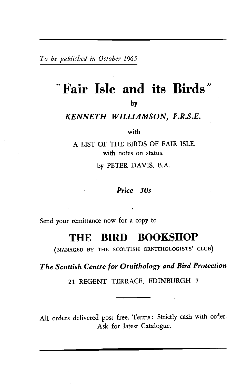*To be published in October 1965* 

## *tt* **Fair Isle and its Birds"**

by

#### *KENNETH WILLIAMSON, F.R.s.E.*

with

A LIST OF THE BIRDS OF FAIR ISLE, with notes on status,

by PETER DAVIS, B.A.

#### *Price 30s*

Send your remittance now for a copy to

## THE **BIRD BOOKSHOP**

(MANAGED BY THE SCOTTISH ORNITHOLOGISTS' CLUB)

*The Scottish Centre for Ornithology and Bird Protection* 

21 REGENT TERRACE, EDINBURGH 7

All orders delivered post free. Terms: Strictly cash with order. Ask for latest Catalogue.